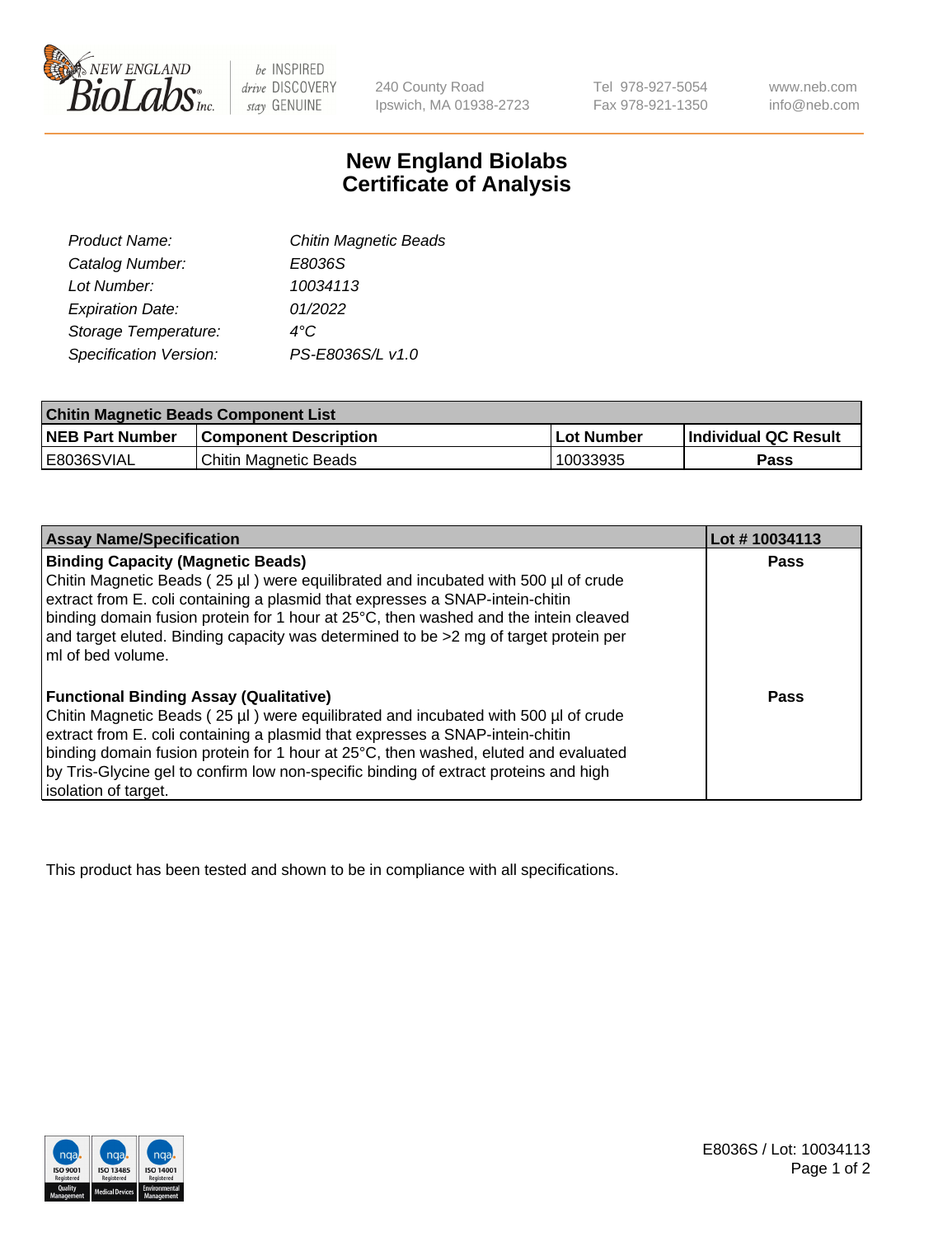

 $be$  INSPIRED drive DISCOVERY stay GENUINE

240 County Road Ipswich, MA 01938-2723

Tel 978-927-5054 Fax 978-921-1350 www.neb.com info@neb.com

## **New England Biolabs Certificate of Analysis**

| Product Name:           | <b>Chitin Magnetic Beads</b> |
|-------------------------|------------------------------|
| Catalog Number:         | E8036S                       |
| Lot Number:             | 10034113                     |
| <b>Expiration Date:</b> | 01/2022                      |
| Storage Temperature:    | 4°C                          |
| Specification Version:  | PS-E8036S/L v1.0             |
|                         |                              |

| <b>Chitin Magnetic Beads Component List</b> |                              |            |                      |  |
|---------------------------------------------|------------------------------|------------|----------------------|--|
| <b>NEB Part Number</b>                      | <b>Component Description</b> | Lot Number | Individual QC Result |  |
| <b>E8036SVIAL</b>                           | Chitin Magnetic Beads        | 10033935   | Pass                 |  |

| <b>Assay Name/Specification</b>                                                                                                                                                                                 | Lot #10034113 |
|-----------------------------------------------------------------------------------------------------------------------------------------------------------------------------------------------------------------|---------------|
| <b>Binding Capacity (Magnetic Beads)</b><br>Chitin Magnetic Beads (25 µl) were equilibrated and incubated with 500 µl of crude<br>extract from E. coli containing a plasmid that expresses a SNAP-intein-chitin | Pass          |
| binding domain fusion protein for 1 hour at 25°C, then washed and the intein cleaved<br>and target eluted. Binding capacity was determined to be >2 mg of target protein per<br>ml of bed volume.               |               |
| <b>Functional Binding Assay (Qualitative)</b>                                                                                                                                                                   | Pass          |
| Chitin Magnetic Beads (25 µl) were equilibrated and incubated with 500 µl of crude                                                                                                                              |               |
| extract from E. coli containing a plasmid that expresses a SNAP-intein-chitin                                                                                                                                   |               |
| binding domain fusion protein for 1 hour at 25°C, then washed, eluted and evaluated                                                                                                                             |               |
| by Tris-Glycine gel to confirm low non-specific binding of extract proteins and high                                                                                                                            |               |
| isolation of target.                                                                                                                                                                                            |               |

This product has been tested and shown to be in compliance with all specifications.